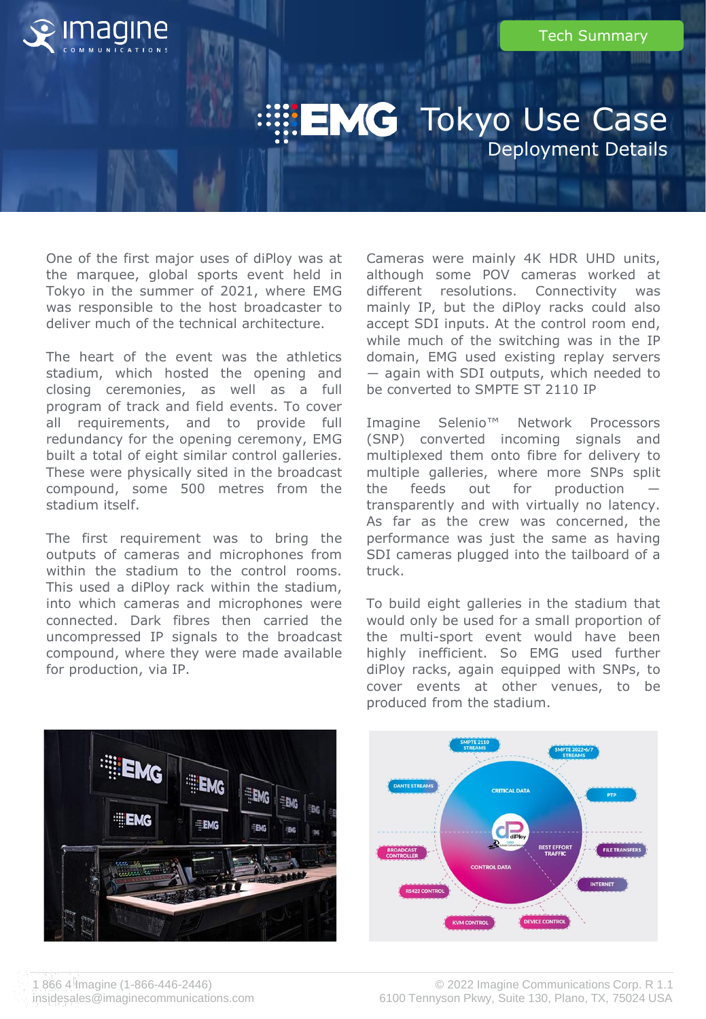

## **EMG** Tokyo Use Case Deployment Details

One of the first major uses of diPloy was at the marquee, global sports event held in Tokyo in the summer of 2021, where EMG was responsible to the host broadcaster to deliver much of the technical architecture.

The heart of the event was the athletics stadium, which hosted the opening and closing ceremonies, as well as a full program of track and field events. To cover all requirements, and to provide full redundancy for the opening ceremony, EMG built a total of eight similar control galleries. These were physically sited in the broadcast compound, some 500 metres from the stadium itself.

The first requirement was to bring the outputs of cameras and microphones from within the stadium to the control rooms. This used a diPloy rack within the stadium, into which cameras and microphones were connected. Dark fibres then carried the uncompressed IP signals to the broadcast compound, where they were made available for production, via IP.

Cameras were mainly 4K HDR UHD units, although some POV cameras worked at different resolutions. Connectivity was mainly IP, but the diPloy racks could also accept SDI inputs. At the control room end, while much of the switching was in the IP domain, EMG used existing replay servers ― again with SDI outputs, which needed to be converted to SMPTE ST 2110 IP

Imagine Selenio™ Network Processors (SNP) converted incoming signals and multiplexed them onto fibre for delivery to multiple galleries, where more SNPs split the feeds out for production transparently and with virtually no latency. As far as the crew was concerned, the performance was just the same as having SDI cameras plugged into the tailboard of a truck.

To build eight galleries in the stadium that would only be used for a small proportion of the multi-sport event would have been highly inefficient. So EMG used further diPloy racks, again equipped with SNPs, to cover events at other venues, to be produced from the stadium.